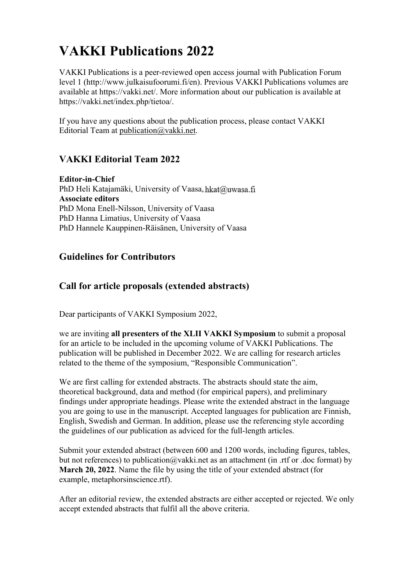# VAKKI Publications 2022

VAKKI Publications is a peer-reviewed open access journal with Publication Forum level 1 (http://www.julkaisufoorumi.fi/en). Previous VAKKI Publications volumes are available at https://vakki.net/. More information about our publication is available at https://vakki.net/index.php/tietoa/.

If you have any questions about the publication process, please contact VAKKI Editorial Team at publication@vakki.net.

# VAKKI Editorial Team 2022

Editor-in-Chief PhD Heli Katajamäki, University of Vaasa, hkat@uwasa.fi Associate editors PhD Mona Enell-Nilsson, University of Vaasa PhD Hanna Limatius, University of Vaasa PhD Hannele Kauppinen-Räisänen, University of Vaasa

# Guidelines for Contributors

## Call for article proposals (extended abstracts)

Dear participants of VAKKI Symposium 2022,

we are inviting all presenters of the XLII VAKKI Symposium to submit a proposal for an article to be included in the upcoming volume of VAKKI Publications. The publication will be published in December 2022. We are calling for research articles related to the theme of the symposium, "Responsible Communication".

We are first calling for extended abstracts. The abstracts should state the aim, theoretical background, data and method (for empirical papers), and preliminary findings under appropriate headings. Please write the extended abstract in the language you are going to use in the manuscript. Accepted languages for publication are Finnish, English, Swedish and German. In addition, please use the referencing style according the guidelines of our publication as adviced for the full-length articles.

Submit your extended abstract (between 600 and 1200 words, including figures, tables, but not references) to publication@vakki.net as an attachment (in .rtf or .doc format) by March 20, 2022. Name the file by using the title of your extended abstract (for example, metaphorsinscience.rtf).

After an editorial review, the extended abstracts are either accepted or rejected. We only accept extended abstracts that fulfil all the above criteria.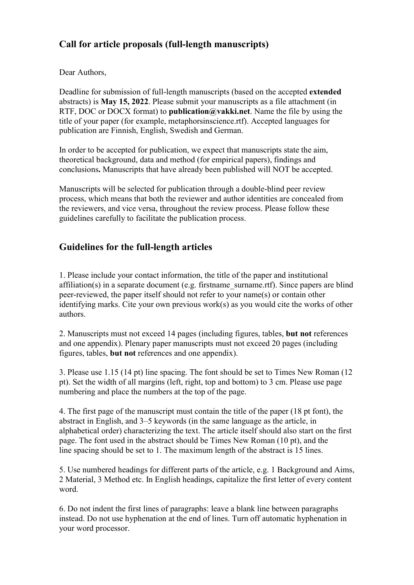# Call for article proposals (full-length manuscripts)

Dear Authors,

Deadline for submission of full-length manuscripts (based on the accepted extended abstracts) is May 15, 2022. Please submit your manuscripts as a file attachment (in RTF, DOC or DOCX format) to **publication@vakki.net**. Name the file by using the title of your paper (for example, metaphorsinscience.rtf). Accepted languages for publication are Finnish, English, Swedish and German.

In order to be accepted for publication, we expect that manuscripts state the aim, theoretical background, data and method (for empirical papers), findings and conclusions. Manuscripts that have already been published will NOT be accepted.

Manuscripts will be selected for publication through a double-blind peer review process, which means that both the reviewer and author identities are concealed from the reviewers, and vice versa, throughout the review process. Please follow these guidelines carefully to facilitate the publication process.

# Guidelines for the full-length articles

1. Please include your contact information, the title of the paper and institutional affiliation(s) in a separate document (e.g. firstname\_surname.rtf). Since papers are blind peer-reviewed, the paper itself should not refer to your name(s) or contain other identifying marks. Cite your own previous work(s) as you would cite the works of other authors.

2. Manuscripts must not exceed 14 pages (including figures, tables, but not references and one appendix). Plenary paper manuscripts must not exceed 20 pages (including figures, tables, but not references and one appendix).

3. Please use 1.15 (14 pt) line spacing. The font should be set to Times New Roman (12 pt). Set the width of all margins (left, right, top and bottom) to 3 cm. Please use page numbering and place the numbers at the top of the page.

4. The first page of the manuscript must contain the title of the paper (18 pt font), the abstract in English, and 3–5 keywords (in the same language as the article, in alphabetical order) characterizing the text. The article itself should also start on the first page. The font used in the abstract should be Times New Roman (10 pt), and the line spacing should be set to 1. The maximum length of the abstract is 15 lines.

5. Use numbered headings for different parts of the article, e.g. 1 Background and Aims, 2 Material, 3 Method etc. In English headings, capitalize the first letter of every content word.

6. Do not indent the first lines of paragraphs: leave a blank line between paragraphs instead. Do not use hyphenation at the end of lines. Turn off automatic hyphenation in your word processor.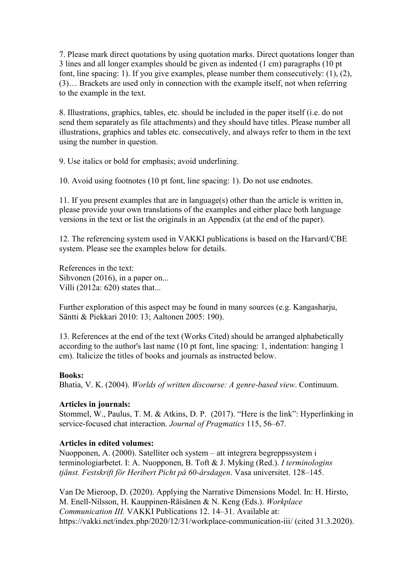7. Please mark direct quotations by using quotation marks. Direct quotations longer than 3 lines and all longer examples should be given as indented (1 cm) paragraphs (10 pt font, line spacing: 1). If you give examples, please number them consecutively: (1), (2), (3)… Brackets are used only in connection with the example itself, not when referring to the example in the text.

8. Illustrations, graphics, tables, etc. should be included in the paper itself (i.e. do not send them separately as file attachments) and they should have titles. Please number all illustrations, graphics and tables etc. consecutively, and always refer to them in the text using the number in question.

9. Use italics or bold for emphasis; avoid underlining.

10. Avoid using footnotes (10 pt font, line spacing: 1). Do not use endnotes.

11. If you present examples that are in language(s) other than the article is written in, please provide your own translations of the examples and either place both language versions in the text or list the originals in an Appendix (at the end of the paper).

12. The referencing system used in VAKKI publications is based on the Harvard/CBE system. Please see the examples below for details.

References in the text: Sihvonen (2016), in a paper on... Villi (2012a: 620) states that...

Further exploration of this aspect may be found in many sources (e.g. Kangasharju, Säntti & Piekkari 2010: 13; Aaltonen 2005: 190).

13. References at the end of the text (Works Cited) should be arranged alphabetically according to the author's last name (10 pt font, line spacing: 1, indentation: hanging 1 cm). Italicize the titles of books and journals as instructed below.

#### Books:

Bhatia, V. K. (2004). Worlds of written discourse: A genre-based view. Continuum.

## Articles in journals:

Stommel, W., Paulus, T. M. & Atkins, D. P. (2017). "Here is the link": Hyperlinking in service-focused chat interaction. Journal of Pragmatics 115, 56–67.

## Articles in edited volumes:

Nuopponen, A. (2000). Satelliter och system – att integrera begreppssystem i terminologiarbetet. I: A. Nuopponen, B. Toft & J. Myking (Red.). I terminologins tjänst. Festskrift för Heribert Picht på 60-årsdagen. Vasa universitet. 128–145.

Van De Mieroop, D. (2020). Applying the Narrative Dimensions Model. In: H. Hirsto, M. Enell-Nilsson, H. Kauppinen-Räisänen & N. Keng (Eds.). Workplace Communication III. VAKKI Publications 12. 14–31. Available at: https://vakki.net/index.php/2020/12/31/workplace-communication-iii/ (cited 31.3.2020).